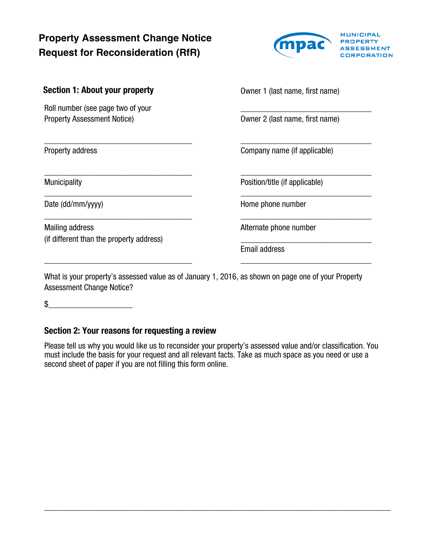# **Property Assessment Change Notice Request for Reconsideration (RfR)**

\_\_\_\_\_\_\_\_\_\_\_\_\_\_\_\_\_\_\_\_\_\_\_\_\_\_\_\_\_\_\_\_\_\_\_

\_\_\_\_\_\_\_\_\_\_\_\_\_\_\_\_\_\_\_\_\_\_\_\_\_\_\_\_\_\_\_\_\_\_\_

\_\_\_\_\_\_\_\_\_\_\_\_\_\_\_\_\_\_\_\_\_\_\_\_\_\_\_\_\_\_\_\_\_\_\_

\_\_\_\_\_\_\_\_\_\_\_\_\_\_\_\_\_\_\_\_\_\_\_\_\_\_\_\_\_\_\_\_\_\_\_

\_\_\_\_\_\_\_\_\_\_\_\_\_\_\_\_\_\_\_\_\_\_\_\_\_\_\_\_\_\_\_\_\_\_\_



|  | <b>Section 1: About your property</b> |  |
|--|---------------------------------------|--|
|--|---------------------------------------|--|

Roll number (see page two of your Property Assessment Notice)

Property address

**Municipality** 

Date (dd/mm/yyyy)

Mailing address (if different than the property address) Owner 1 (last name, first name)

\_\_\_\_\_\_\_\_\_\_\_\_\_\_\_\_\_\_\_\_\_\_\_\_\_\_\_\_\_\_\_ Owner 2 (last name, first name)

\_\_\_\_\_\_\_\_\_\_\_\_\_\_\_\_\_\_\_\_\_\_\_\_\_\_\_\_\_\_\_ Company name (if applicable)

\_\_\_\_\_\_\_\_\_\_\_\_\_\_\_\_\_\_\_\_\_\_\_\_\_\_\_\_\_\_\_

\_\_\_\_\_\_\_\_\_\_\_\_\_\_\_\_\_\_\_\_\_\_\_\_\_\_\_\_\_\_\_

\_\_\_\_\_\_\_\_\_\_\_\_\_\_\_\_\_\_\_\_\_\_\_\_\_\_\_\_\_\_\_

\_\_\_\_\_\_\_\_\_\_\_\_\_\_\_\_\_\_\_\_\_\_\_\_\_\_\_\_\_\_\_

Position/title (if applicable)

Home phone number

Alternate phone number

\_\_\_\_\_\_\_\_\_\_\_\_\_\_\_\_\_\_\_\_\_\_\_\_\_\_\_\_\_\_\_ Email address

What is your property's assessed value as of January 1, 2016, as shown on page one of your Property Assessment Change Notice?

 $\mathbb S$ 

### Section 2: Your reasons for requesting a review

Please tell us why you would like us to reconsider your property's assessed value and/or classification. You must include the basis for your request and all relevant facts. Take as much space as you need or use a second sheet of paper if you are not filling this form online.

\_\_\_\_\_\_\_\_\_\_\_\_\_\_\_\_\_\_\_\_\_\_\_\_\_\_\_\_\_\_\_\_\_\_\_\_\_\_\_\_\_\_\_\_\_\_\_\_\_\_\_\_\_\_\_\_\_\_\_\_\_\_\_\_\_\_\_\_\_\_\_\_\_\_\_\_\_\_\_\_\_\_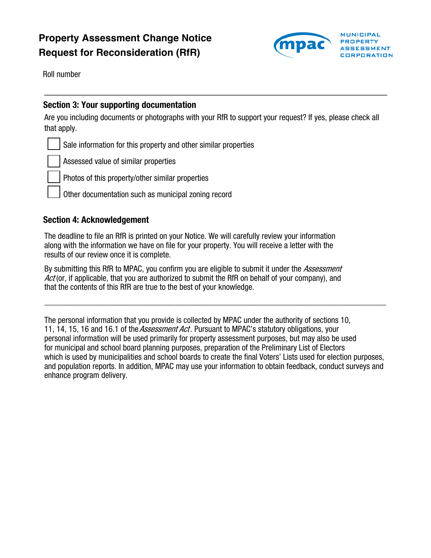# **Property Assessment Change Notice Request for Reconsideration (RfR)**



Roll number

### Section 3: Your supporting documentation

Are you including documents or photographs with your RfR to support your request? If yes, please check all that apply.

 $\_$  , and the contribution of the contribution of  $\mathcal{L}_\mathcal{A}$  , and the contribution of  $\mathcal{L}_\mathcal{A}$ 

Sale information for this property and other similar properties

Assessed value of similar properties

Photos of this property/other similar properties

Other documentation such as municipal zoning record

#### Section 4: Acknowledgement

The deadline to file an RfR is printed on your Notice. We will carefully review your information along with the information we have on file for your property. You will receive a letter with the results of our review once it is complete.

By submitting this RfR to MPAC, you confirm you are eligible to submit it under the *Assessment* Act (or, if applicable, that you are authorized to submit the RfR on behalf of your company), and that the contents of this RfR are true to the best of your knowledge.

The personal information that you provide is collected by MPAC under the authority of sections 10, 11, 14, 15, 16 and 16.1 of the *Assessment Act*. Pursuant to MPAC's statutory obligations, your personal information will be used primarily for property assessment purposes, but may also be used for municipal and school board planning purposes, preparation of the Preliminary List of Electors which is used by municipalities and school boards to create the final Voters' Lists used for election purposes, and population reports. In addition, MPAC may use your information to obtain feedback, conduct surveys and enhance program delivery.

\_\_\_\_\_\_\_\_\_\_\_\_\_\_\_\_\_\_\_\_\_\_\_\_\_\_\_\_\_\_\_\_\_\_\_\_\_\_\_\_\_\_\_\_\_\_\_\_\_\_\_\_\_\_\_\_\_\_\_\_\_\_\_\_\_\_\_\_\_\_\_\_\_\_\_\_\_\_\_\_\_